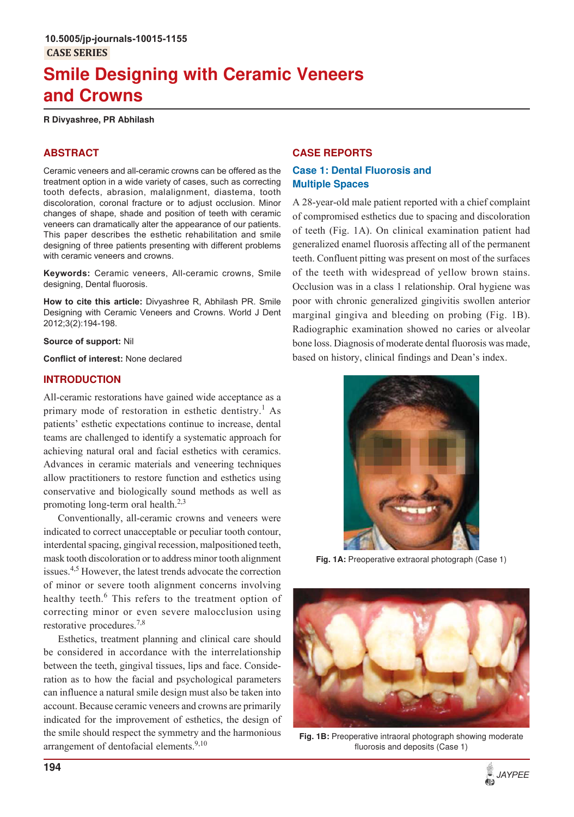# **Smile Designing with Ceramic Veneers and Crowns**

#### **R Divyashree, PR Abhilash**

# **ABSTRACT**

Ceramic veneers and all-ceramic crowns can be offered as the treatment option in a wide variety of cases, such as correcting tooth defects, abrasion, malalignment, diastema, tooth discoloration, coronal fracture or to adjust occlusion. Minor changes of shape, shade and position of teeth with ceramic veneers can dramatically alter the appearance of our patients. This paper describes the esthetic rehabilitation and smile designing of three patients presenting with different problems with ceramic veneers and crowns.

**Keywords:** Ceramic veneers, All-ceramic crowns, Smile designing, Dental fluorosis.

**How to cite this article:** Divyashree R, Abhilash PR. Smile Designing with Ceramic Veneers and Crowns. World J Dent 2012;3(2):194-198.

**Source of support:** Nil

**Conflict of interest:** None declared

## **INTRODUCTION**

All-ceramic restorations have gained wide acceptance as a primary mode of restoration in esthetic dentistry.<sup>1</sup> As patients' esthetic expectations continue to increase, dental teams are challenged to identify a systematic approach for achieving natural oral and facial esthetics with ceramics. Advances in ceramic materials and veneering techniques allow practitioners to restore function and esthetics using conservative and biologically sound methods as well as promoting long-term oral health.<sup>2,3</sup>

Conventionally, all-ceramic crowns and veneers were indicated to correct unacceptable or peculiar tooth contour, interdental spacing, gingival recession, malpositioned teeth, mask tooth discoloration or to address minor tooth alignment issues.4,5 However, the latest trends advocate the correction of minor or severe tooth alignment concerns involving healthy teeth.<sup>6</sup> This refers to the treatment option of correcting minor or even severe malocclusion using restorative procedures.7,8

Esthetics, treatment planning and clinical care should be considered in accordance with the interrelationship between the teeth, gingival tissues, lips and face. Consideration as to how the facial and psychological parameters can influence a natural smile design must also be taken into account. Because ceramic veneers and crowns are primarily indicated for the improvement of esthetics, the design of the smile should respect the symmetry and the harmonious arrangement of dentofacial elements. $9,10$ 

## **CASE REPORTS**

# **Case 1: Dental Fluorosis and Multiple Spaces**

A 28-year-old male patient reported with a chief complaint of compromised esthetics due to spacing and discoloration of teeth (Fig. 1A). On clinical examination patient had generalized enamel fluorosis affecting all of the permanent teeth. Confluent pitting was present on most of the surfaces of the teeth with widespread of yellow brown stains. Occlusion was in a class 1 relationship. Oral hygiene was poor with chronic generalized gingivitis swollen anterior marginal gingiva and bleeding on probing (Fig. 1B). Radiographic examination showed no caries or alveolar bone loss. Diagnosis of moderate dental fluorosis was made, based on history, clinical findings and Dean's index.



**Fig. 1A:** Preoperative extraoral photograph (Case 1)



**Fig. 1B:** Preoperative intraoral photograph showing moderate fluorosis and deposits (Case 1)

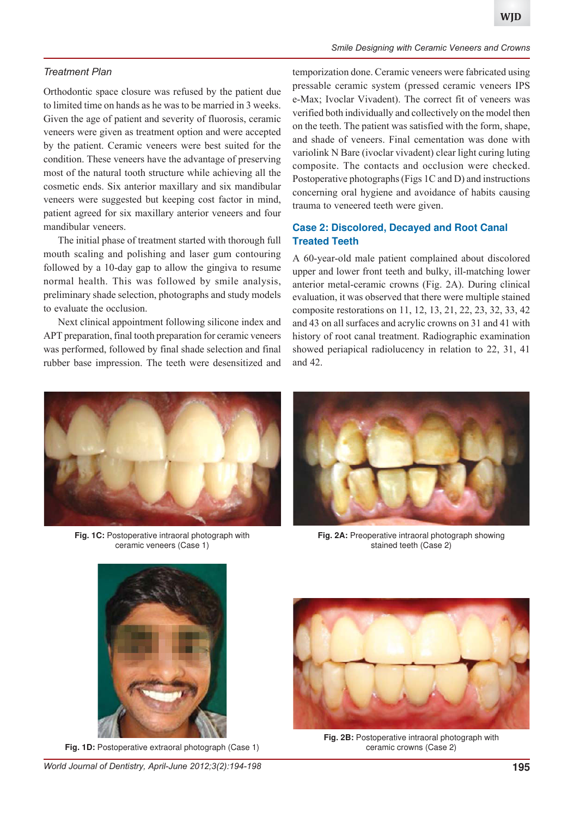#### *Treatment Plan*

Orthodontic space closure was refused by the patient due to limited time on hands as he was to be married in 3 weeks. Given the age of patient and severity of fluorosis, ceramic veneers were given as treatment option and were accepted by the patient. Ceramic veneers were best suited for the condition. These veneers have the advantage of preserving most of the natural tooth structure while achieving all the cosmetic ends. Six anterior maxillary and six mandibular veneers were suggested but keeping cost factor in mind, patient agreed for six maxillary anterior veneers and four mandibular veneers.

The initial phase of treatment started with thorough full mouth scaling and polishing and laser gum contouring followed by a 10-day gap to allow the gingiva to resume normal health. This was followed by smile analysis, preliminary shade selection, photographs and study models to evaluate the occlusion.

Next clinical appointment following silicone index and APT preparation, final tooth preparation for ceramic veneers was performed, followed by final shade selection and final rubber base impression. The teeth were desensitized and temporization done. Ceramic veneers were fabricated using pressable ceramic system (pressed ceramic veneers IPS e-Max; Ivoclar Vivadent). The correct fit of veneers was verified both individually and collectively on the model then on the teeth. The patient was satisfied with the form, shape, and shade of veneers. Final cementation was done with variolink N Bare (ivoclar vivadent) clear light curing luting composite. The contacts and occlusion were checked. Postoperative photographs (Figs 1C and D) and instructions concerning oral hygiene and avoidance of habits causing trauma to veneered teeth were given.

# **Case 2: Discolored, Decayed and Root Canal Treated Teeth**

A 60-year-old male patient complained about discolored upper and lower front teeth and bulky, ill-matching lower anterior metal-ceramic crowns (Fig. 2A). During clinical evaluation, it was observed that there were multiple stained composite restorations on 11, 12, 13, 21, 22, 23, 32, 33, 42 and 43 on all surfaces and acrylic crowns on 31 and 41 with history of root canal treatment. Radiographic examination showed periapical radiolucency in relation to 22, 31, 41 and 42.



**Fig. 1C:** Postoperative intraoral photograph with ceramic veneers (Case 1)



**Fig. 2A:** Preoperative intraoral photograph showing stained teeth (Case 2)



**Fig. 1D:** Postoperative extraoral photograph (Case 1)



**Fig. 2B:** Postoperative intraoral photograph with ceramic crowns (Case 2)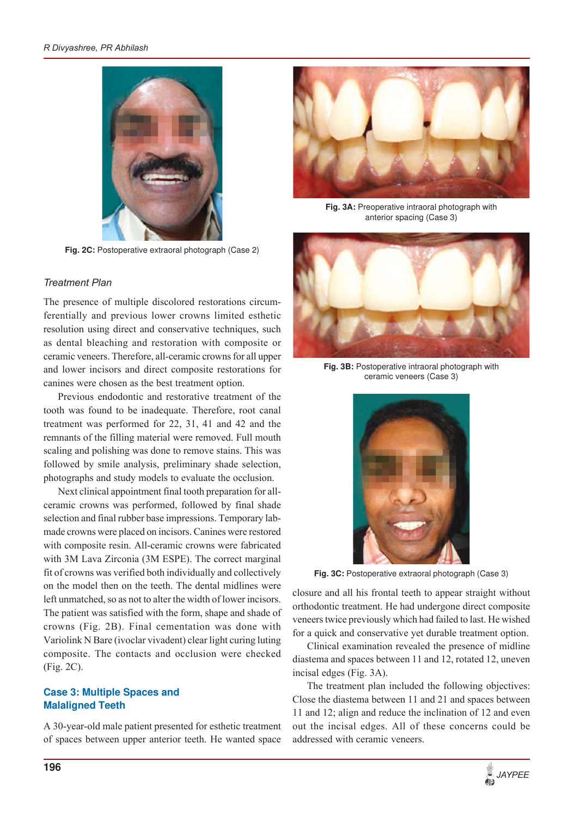

**Fig. 2C:** Postoperative extraoral photograph (Case 2)

#### *Treatment Plan*

The presence of multiple discolored restorations circumferentially and previous lower crowns limited esthetic resolution using direct and conservative techniques, such as dental bleaching and restoration with composite or ceramic veneers. Therefore, all-ceramic crowns for all upper and lower incisors and direct composite restorations for canines were chosen as the best treatment option.

Previous endodontic and restorative treatment of the tooth was found to be inadequate. Therefore, root canal treatment was performed for 22, 31, 41 and 42 and the remnants of the filling material were removed. Full mouth scaling and polishing was done to remove stains. This was followed by smile analysis, preliminary shade selection, photographs and study models to evaluate the occlusion.

Next clinical appointment final tooth preparation for allceramic crowns was performed, followed by final shade selection and final rubber base impressions. Temporary labmade crowns were placed on incisors. Canines were restored with composite resin. All-ceramic crowns were fabricated with 3M Lava Zirconia (3M ESPE). The correct marginal fit of crowns was verified both individually and collectively on the model then on the teeth. The dental midlines were left unmatched, so as not to alter the width of lower incisors. The patient was satisfied with the form, shape and shade of crowns (Fig. 2B). Final cementation was done with Variolink N Bare (ivoclar vivadent) clear light curing luting composite. The contacts and occlusion were checked (Fig. 2C).

## **Case 3: Multiple Spaces and Malaligned Teeth**

A 30-year-old male patient presented for esthetic treatment of spaces between upper anterior teeth. He wanted space



**Fig. 3A:** Preoperative intraoral photograph with anterior spacing (Case 3)



**Fig. 3B:** Postoperative intraoral photograph with ceramic veneers (Case 3)



**Fig. 3C:** Postoperative extraoral photograph (Case 3)

closure and all his frontal teeth to appear straight without orthodontic treatment. He had undergone direct composite veneers twice previously which had failed to last. He wished for a quick and conservative yet durable treatment option.

Clinical examination revealed the presence of midline diastema and spaces between 11 and 12, rotated 12, uneven incisal edges (Fig. 3A).

The treatment plan included the following objectives: Close the diastema between 11 and 21 and spaces between 11 and 12; align and reduce the inclination of 12 and even out the incisal edges. All of these concerns could be addressed with ceramic veneers.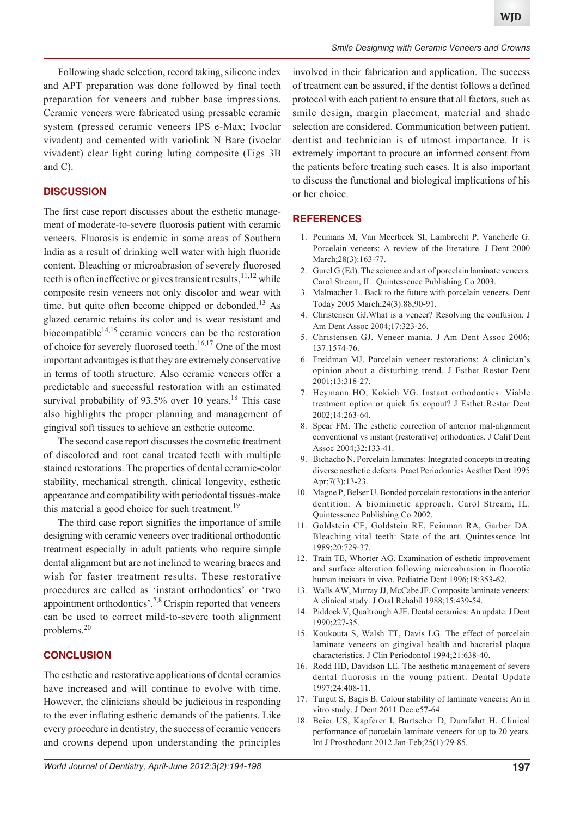Following shade selection, record taking, silicone index and APT preparation was done followed by final teeth preparation for veneers and rubber base impressions. Ceramic veneers were fabricated using pressable ceramic system (pressed ceramic veneers IPS e-Max; Ivoclar vivadent) and cemented with variolink N Bare (ivoclar vivadent) clear light curing luting composite (Figs 3B and C).

## **DISCUSSION**

The first case report discusses about the esthetic management of moderate-to-severe fluorosis patient with ceramic veneers. Fluorosis is endemic in some areas of Southern India as a result of drinking well water with high fluoride content. Bleaching or microabrasion of severely fluorosed teeth is often ineffective or gives transient results, $11,12$  while composite resin veneers not only discolor and wear with time, but quite often become chipped or debonded.<sup>13</sup> As glazed ceramic retains its color and is wear resistant and biocompatible<sup>14,15</sup> ceramic veneers can be the restoration of choice for severely fluorosed teeth.<sup>16,17</sup> One of the most important advantages is that they are extremely conservative in terms of tooth structure. Also ceramic veneers offer a predictable and successful restoration with an estimated survival probability of  $93.5\%$  over 10 years.<sup>18</sup> This case also highlights the proper planning and management of gingival soft tissues to achieve an esthetic outcome.

The second case report discusses the cosmetic treatment of discolored and root canal treated teeth with multiple stained restorations. The properties of dental ceramic-color stability, mechanical strength, clinical longevity, esthetic appearance and compatibility with periodontal tissues-make this material a good choice for such treatment.<sup>19</sup>

The third case report signifies the importance of smile designing with ceramic veneers over traditional orthodontic treatment especially in adult patients who require simple dental alignment but are not inclined to wearing braces and wish for faster treatment results. These restorative procedures are called as 'instant orthodontics' or 'two appointment orthodontics'.7,8 Crispin reported that veneers can be used to correct mild-to-severe tooth alignment problems.<sup>20</sup>

#### **CONCLUSION**

The esthetic and restorative applications of dental ceramics have increased and will continue to evolve with time. However, the clinicians should be judicious in responding to the ever inflating esthetic demands of the patients. Like every procedure in dentistry, the success of ceramic veneers and crowns depend upon understanding the principles

involved in their fabrication and application. The success of treatment can be assured, if the dentist follows a defined protocol with each patient to ensure that all factors, such as smile design, margin placement, material and shade selection are considered. Communication between patient, dentist and technician is of utmost importance. It is extremely important to procure an informed consent from the patients before treating such cases. It is also important to discuss the functional and biological implications of his or her choice.

# **REFERENCES**

- 1. Peumans M, Van Meerbeek SI, Lambrecht P, Vancherle G. Porcelain veneers: A review of the literature. J Dent 2000 March; 28(3): 163-77.
- 2. Gurel G (Ed). The science and art of porcelain laminate veneers. Carol Stream, IL: Quintessence Publishing Co 2003.
- 3. Malmacher L. Back to the future with porcelain veneers. Dent Today 2005 March;24(3):88,90-91.
- 4. Christensen GJ.What is a veneer? Resolving the confusion. J Am Dent Assoc 2004;17:323-26.
- 5. Christensen GJ. Veneer mania. J Am Dent Assoc 2006; 137:1574-76.
- 6. Freidman MJ. Porcelain veneer restorations: A clinician's opinion about a disturbing trend. J Esthet Restor Dent 2001;13:318-27.
- 7. Heymann HO, Kokich VG. Instant orthodontics: Viable treatment option or quick fix copout? J Esthet Restor Dent 2002;14:263-64.
- 8. Spear FM. The esthetic correction of anterior mal-alignment conventional vs instant (restorative) orthodontics. J Calif Dent Assoc 2004;32:133-41.
- 9. Bichacho N. Porcelain laminates: Integrated concepts in treating diverse aesthetic defects. Pract Periodontics Aesthet Dent 1995 Apr;7(3):13-23.
- 10. Magne P, Belser U. Bonded porcelain restorations in the anterior dentition: A biomimetic approach. Carol Stream, IL: Quintessence Publishing Co 2002.
- 11. Goldstein CE, Goldstein RE, Feinman RA, Garber DA. Bleaching vital teeth: State of the art. Quintessence Int 1989;20:729-37.
- 12. Train TE, Whorter AG. Examination of esthetic improvement and surface alteration following microabrasion in fluorotic human incisors in vivo. Pediatric Dent 1996;18:353-62.
- 13. Walls AW, Murray JJ, McCabe JF. Composite laminate veneers: A clinical study. J Oral Rehabil 1988;15:439-54.
- 14. Piddock V, Qualtrough AJE. Dental ceramics: An update. J Dent 1990;227-35.
- 15. Koukouta S, Walsh TT, Davis LG. The effect of porcelain laminate veneers on gingival health and bacterial plaque characteristics. J Clin Periodontol 1994;21:638-40.
- 16. Rodd HD, Davidson LE. The aesthetic management of severe dental fluorosis in the young patient. Dental Update 1997;24:408-11.
- 17. Turgut S, Bagis B. Colour stability of laminate veneers: An in vitro study. J Dent 2011 Dec:e57-64.
- 18. Beier US, Kapferer I, Burtscher D, Dumfahrt H. Clinical performance of porcelain laminate veneers for up to 20 years. Int J Prosthodont 2012 Jan-Feb;25(1):79-85.